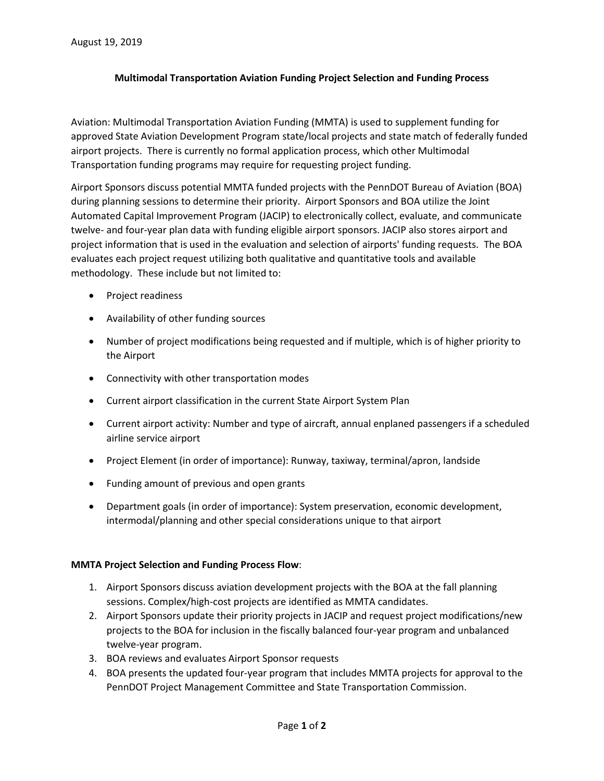## **Multimodal Transportation Aviation Funding Project Selection and Funding Process**

Aviation: Multimodal Transportation Aviation Funding (MMTA) is used to supplement funding for approved State Aviation Development Program state/local projects and state match of federally funded airport projects. There is currently no formal application process, which other Multimodal Transportation funding programs may require for requesting project funding.

Airport Sponsors discuss potential MMTA funded projects with the PennDOT Bureau of Aviation (BOA) during planning sessions to determine their priority. Airport Sponsors and BOA utilize the Joint Automated Capital Improvement Program (JACIP) to electronically collect, evaluate, and communicate twelve- and four-year plan data with funding eligible airport sponsors. JACIP also stores airport and project information that is used in the evaluation and selection of airports' funding requests. The BOA evaluates each project request utilizing both qualitative and quantitative tools and available methodology. These include but not limited to:

- Project readiness
- Availability of other funding sources
- Number of project modifications being requested and if multiple, which is of higher priority to the Airport
- Connectivity with other transportation modes
- Current airport classification in the current State Airport System Plan
- Current airport activity: Number and type of aircraft, annual enplaned passengers if a scheduled airline service airport
- Project Element (in order of importance): Runway, taxiway, terminal/apron, landside
- Funding amount of previous and open grants
- Department goals (in order of importance): System preservation, economic development, intermodal/planning and other special considerations unique to that airport

## **MMTA Project Selection and Funding Process Flow**:

- 1. Airport Sponsors discuss aviation development projects with the BOA at the fall planning sessions. Complex/high-cost projects are identified as MMTA candidates.
- 2. Airport Sponsors update their priority projects in JACIP and request project modifications/new projects to the BOA for inclusion in the fiscally balanced four-year program and unbalanced twelve-year program.
- 3. BOA reviews and evaluates Airport Sponsor requests
- 4. BOA presents the updated four-year program that includes MMTA projects for approval to the PennDOT Project Management Committee and State Transportation Commission.